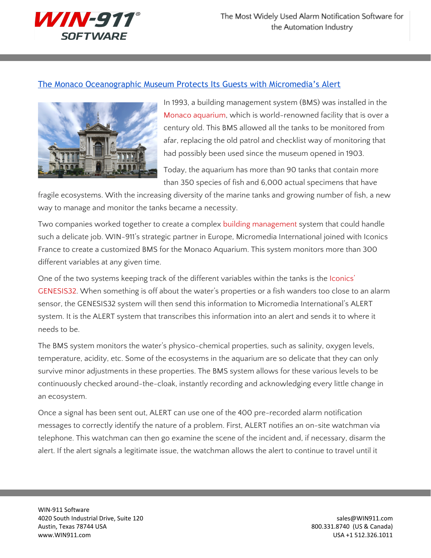

## The Monaco [Oceanographic](http://www.win911.com/monaco-aquarium-uses-alert-bms/) Museum Protects Its Guests with Micromedia's Alert



In 1993, a building management system (BMS) was installed in the Monaco [aquarium,](http://www.oceano.mc/en) which is world-renowned facility that is over a century old. This BMS allowed all the tanks to be monitored from afar, replacing the old patrol and checklist way of monitoring that had possibly been used since the museum opened in 1903.

Today, the aquarium has more than 90 tanks that contain more than 350 species of fish and 6,000 actual specimens that have

fragile ecosystems. With the increasing diversity of the marine tanks and growing number of fish, a new way to manage and monitor the tanks became a necessity.

Two companies worked together to create a complex building [management](http://www.win911.com/alarm-monitoring-software-scada/) system that could handle such a delicate job. WIN-911's strategic partner in Europe, Micromedia International joined with Iconics France to create a customized BMS for the Monaco Aquarium. This system monitors more than 300 different variables at any given time.

One of the two systems keeping track of the different variables within the tanks is the [Iconics'](http://www.iconics.com/Home/Products/HMI-SCADA-Software-Solutions/GENESIS32.aspx) [GENESIS32.](http://www.iconics.com/Home/Products/HMI-SCADA-Software-Solutions/GENESIS32.aspx) When something is off about the water's properties or a fish wanders too close to an alarm sensor, the GENESIS32 system will then send this information to Micromedia International's ALERT system. It is the ALERT system that transcribes this information into an alert and sends it to where it needs to be.

The BMS system monitors the water's physico-chemical properties, such as salinity, oxygen levels, temperature, acidity, etc. Some of the ecosystems in the aquarium are so delicate that they can only survive minor adjustments in these properties. The BMS system allows for these various levels to be continuously checked around-the-cloak, instantly recording and acknowledging every little change in an ecosystem.

Once a signal has been sent out, ALERT can use one of the 400 pre-recorded alarm notification messages to correctly identify the nature of a problem. First, ALERT notifies an on-site watchman via telephone. This watchman can then go examine the scene of the incident and, if necessary, disarm the alert. If the alert signals a legitimate issue, the watchman allows the alert to continue to travel until it

WIN-911 Software 4020 South Industrial Drive, Suite 120 sales extends to the state of the state of the state of the state of the state of the state of the state of the state of the state of the state of the state of the state of the state Austin, Texas 78744 USA 800.331.8740 (US & Canada) www.WIN911.com USA +1 512.326.1011